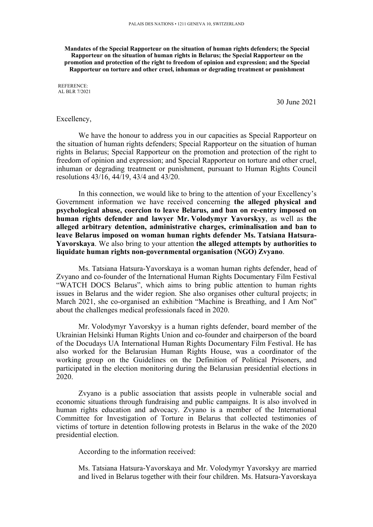**Mandates of the Special Rapporteur on the situation of human rights defenders; the Special Rapporteur on the situation of human rights in Belarus; the Special Rapporteur on the promotion and protection of the right to freedom of opinion and expression; and the Special Rapporteur on torture and other cruel, inhuman or degrading treatment or punishment**

REFERENCE: AL BLR 7/2021

30 June 2021

#### Excellency,

We have the honour to address you in our capacities as Special Rapporteur on the situation of human rights defenders; Special Rapporteur on the situation of human rights in Belarus; Special Rapporteur on the promotion and protection of the right to freedom of opinion and expression; and Special Rapporteur on torture and other cruel, inhuman or degrading treatment or punishment, pursuan<sup>t</sup> to Human Rights Council resolutions 43/16, 44/19, 43/4 and 43/20.

In this connection, we would like to bring to the attention of your Excellency'<sup>s</sup> Government information we have received concerning **the alleged physical and psychological abuse, coercion to leave Belarus, and ban on re-entry imposed on human rights defender and lawyer Mr. Volodymyr Yavorskyy**, as well as **the alleged arbitrary detention, administrative charges, criminalisation and ban to leave Belarus imposed on woman human rights defender Ms. Tatsiana Hatsura-Yavorskaya**. We also bring to your attention **the alleged attempts by authorities to liquidate human rights non-governmental organisation (NGO) Zvyano**.

Ms. Tatsiana Hatsura-Yavorskaya is <sup>a</sup> woman human rights defender, head of Zvyano and co-founder of the International Human Rights Documentary Film Festival "WATCH DOCS Belarus", which aims to bring public attention to human rights issues in Belarus and the wider region. She also organises other cultural projects; in March 2021, she co-organised an exhibition "Machine is Breathing, and I Am Not" about the challenges medical professionals faced in 2020.

Mr. Volodymyr Yavorskyy is <sup>a</sup> human rights defender, board member of the Ukrainian Helsinki Human Rights Union and co-founder and chairperson of the board of the Docudays UA International Human Rights Documentary Film Festival. He has also worked for the Belarusian Human Rights House, was <sup>a</sup> coordinator of the working group on the Guidelines on the Definition of Political Prisoners, and participated in the election monitoring during the Belarusian presidential elections in 2020.

Zvyano is <sup>a</sup> public association that assists people in vulnerable social and economic situations through fundraising and public campaigns. It is also involved in human rights education and advocacy. Zvyano is <sup>a</sup> member of the International Committee for Investigation of Torture in Belarus that collected testimonies of victims of torture in detention following protests in Belarus in the wake of the 2020 presidential election.

According to the information received:

Ms. Tatsiana Hatsura-Yavorskaya and Mr. Volodymyr Yavorskyy are married and lived in Belarus together with their four children. Ms. Hatsura-Yavorskaya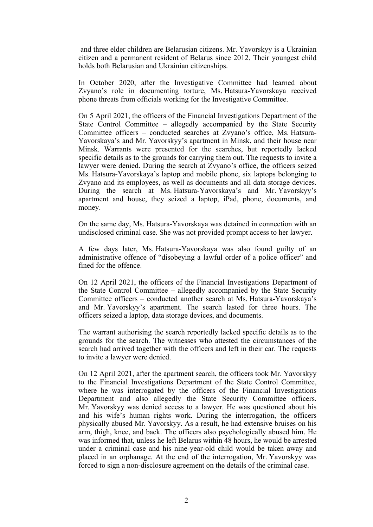and three elder children are Belarusian citizens. Mr. Yavorskyy is <sup>a</sup> Ukrainian citizen and <sup>a</sup> permanen<sup>t</sup> resident of Belarus since 2012. Their younges<sup>t</sup> child holds both Belarusian and Ukrainian citizenships.

In October 2020, after the Investigative Committee had learned about Zvyano'<sup>s</sup> role in documenting torture, Ms. Hatsura-Yavorskaya received phone threats from officials working for the Investigative Committee.

On 5 April 2021, the officers of the Financial Investigations Department of the State Control Committee – allegedly accompanied by the State Security Committee officers – conducted searches at Zvyano'<sup>s</sup> office, Ms. Hatsura-Yavorskaya'<sup>s</sup> and Mr. Yavorskyy'<sup>s</sup> apartment in Minsk, and their house near Minsk. Warrants were presented for the searches, but reportedly lacked specific details as to the grounds for carrying them out. The requests to invite <sup>a</sup> lawyer were denied. During the search at Zvyano'<sup>s</sup> office, the officers seized Ms. Hatsura-Yavorskaya'<sup>s</sup> laptop and mobile phone, six laptops belonging to Zvyano and its employees, as well as documents and all data storage devices. During the search at Ms. Hatsura-Yavorskaya'<sup>s</sup> and Mr. Yavorskyy'<sup>s</sup> apartment and house, they seized <sup>a</sup> laptop, iPad, phone, documents, and money.

On the same day, Ms. Hatsura-Yavorskaya was detained in connection with an undisclosed criminal case. She was not provided promp<sup>t</sup> access to her lawyer.

A few days later, Ms. Hatsura-Yavorskaya was also found guilty of an administrative offence of "disobeying <sup>a</sup> lawful order of <sup>a</sup> police officer" and fined for the offence.

On 12 April 2021, the officers of the Financial Investigations Department of the State Control Committee – allegedly accompanied by the State Security Committee officers – conducted another search at Ms. Hatsura-Yavorskaya'<sup>s</sup> and Mr. Yavorskyy'<sup>s</sup> apartment. The search lasted for three hours. The officers seized <sup>a</sup> laptop, data storage devices, and documents.

The warrant authorising the search reportedly lacked specific details as to the grounds for the search. The witnesses who attested the circumstances of the search had arrived together with the officers and left in their car. The requests to invite <sup>a</sup> lawyer were denied.

On 12 April 2021, after the apartment search, the officers took Mr. Yavorskyy to the Financial Investigations Department of the State Control Committee, where he was interrogated by the officers of the Financial Investigations Department and also allegedly the State Security Committee officers. Mr. Yavorskyy was denied access to <sup>a</sup> lawyer. He was questioned about his and his wife'<sup>s</sup> human rights work. During the interrogation, the officers physically abused Mr. Yavorskyy. As <sup>a</sup> result, he had extensive bruises on his arm, thigh, knee, and back. The officers also psychologically abused him. He was informed that, unless he left Belarus within 48 hours, he would be arrested under <sup>a</sup> criminal case and his nine-year-old child would be taken away and placed in an orphanage. At the end of the interrogation, Mr. Yavorskyy was forced to sign <sup>a</sup> non-disclosure agreemen<sup>t</sup> on the details of the criminal case.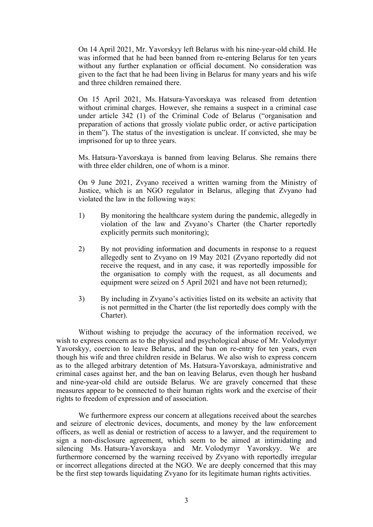On 14 April 2021, Mr. Yavorskyy left Belarus with his nine-year-old child. He was informed that he had been banned from re-entering Belarus for ten years without any further explanation or official document. No consideration was given to the fact that he had been living in Belarus for many years and his wife and three children remained there.

On 15 April 2021, Ms. Hatsura-Yavorskaya was released from detention without criminal charges. However, she remains <sup>a</sup> suspec<sup>t</sup> in <sup>a</sup> criminal case under article 342 (1) of the Criminal Code of Belarus ("organisation and preparation of actions that grossly violate public order, or active participation in them"). The status of the investigation is unclear. If convicted, she may be imprisoned for up to three years.

Ms. Hatsura-Yavorskaya is banned from leaving Belarus. She remains there with three elder children, one of whom is a minor.

On 9 June 2021, Zvyano received <sup>a</sup> written warning from the Ministry of Justice, which is an NGO regulator in Belarus, alleging that Zvyano had violated the law in the following ways:

- 1) By monitoring the healthcare system during the pandemic, allegedly in violation of the law and Zvyano'<sup>s</sup> Charter (the Charter reportedly explicitly permits such monitoring);
- 2) By not providing information and documents in response to <sup>a</sup> reques<sup>t</sup> allegedly sent to Zvyano on 19 May 2021 (Zvyano reportedly did not receive the request, and in any case, it was reportedly impossible for the organisation to comply with the request, as all documents and equipment were seized on 5 April 2021 and have not been returned);
- 3) By including in Zvyano'<sup>s</sup> activities listed on its website an activity that is not permitted in the Charter (the list reportedly does comply with the Charter).

Without wishing to prejudge the accuracy of the information received, we wish to express concern as to the physical and psychological abuse of Mr. Volodymyr Yavorskyy, coercion to leave Belarus, and the ban on re-entry for ten years, even though his wife and three children reside in Belarus. We also wish to express concern as to the alleged arbitrary detention of Ms. Hatsura-Yavorskaya, administrative and criminal cases against her, and the ban on leaving Belarus, even though her husband and nine-year-old child are outside Belarus. We are gravely concerned that these measures appear to be connected to their human rights work and the exercise of their rights to freedom of expression and of association.

We furthermore express our concern at allegations received about the searches and seizure of electronic devices, documents, and money by the law enforcement officers, as well as denial or restriction of access to <sup>a</sup> lawyer, and the requirement to sign <sup>a</sup> non-disclosure agreement, which seem to be aimed at intimidating and silencing Ms. Hatsura-Yavorskaya and Mr. Volodymyr Yavorskyy. We are furthermore concerned by the warning received by Zvyano with reportedly irregular or incorrect allegations directed at the NGO. We are deeply concerned that this may be the first step towards liquidating Zvyano for its legitimate human rights activities.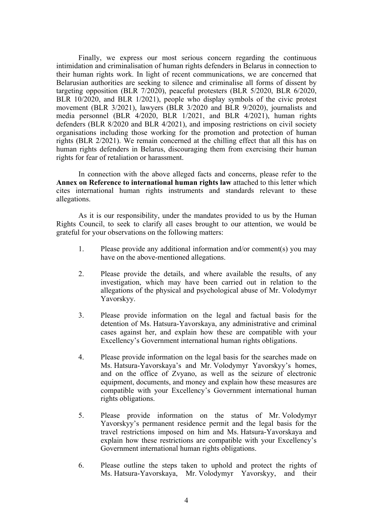Finally, we express our most serious concern regarding the continuous intimidation and criminalisation of human rights defenders in Belarus in connection to their human rights work. In light of recent communications, we are concerned that Belarusian authorities are seeking to silence and criminalise all forms of dissent by targeting opposition (BLR 7/2020), peaceful protesters (BLR 5/2020, BLR 6/2020, BLR 10/2020, and BLR 1/2021), people who display symbols of the civic protest movement (BLR 3/2021), lawyers (BLR 3/2020 and BLR 9/2020), journalists and media personnel (BLR 4/2020, BLR 1/2021, and BLR 4/2021), human rights defenders (BLR 8/2020 and BLR 4/2021), and imposing restrictions on civil society organisations including those working for the promotion and protection of human rights (BLR 2/2021). We remain concerned at the chilling effect that all this has on human rights defenders in Belarus, discouraging them from exercising their human rights for fear of retaliation or harassment.

In connection with the above alleged facts and concerns, please refer to the **Annex on Reference to international human rights law** attached to this letter which cites international human rights instruments and standards relevant to these allegations.

As it is our responsibility, under the mandates provided to us by the Human Rights Council, to seek to clarify all cases brought to our attention, we would be grateful for your observations on the following matters:

- 1. Please provide any additional information and/or comment(s) you may have on the above-mentioned allegations.
- 2. Please provide the details, and where available the results, of any investigation, which may have been carried out in relation to the allegations of the physical and psychological abuse of Mr. Volodymyr Yavorskyy.
- 3. Please provide information on the legal and factual basis for the detention of Ms. Hatsura-Yavorskaya, any administrative and criminal cases against her, and explain how these are compatible with your Excellency'<sup>s</sup> Government international human rights obligations.
- 4. Please provide information on the legal basis for the searches made on Ms. Hatsura-Yavorskaya'<sup>s</sup> and Mr. Volodymyr Yavorskyy'<sup>s</sup> homes, and on the office of Zvyano, as well as the seizure of electronic equipment, documents, and money and explain how these measures are compatible with your Excellency'<sup>s</sup> Government international human rights obligations.
- 5. Please provide information on the status of Mr. Volodymyr Yavorskyy'<sup>s</sup> permanen<sup>t</sup> residence permit and the legal basis for the travel restrictions imposed on him and Ms. Hatsura-Yavorskaya and explain how these restrictions are compatible with your Excellency'<sup>s</sup> Government international human rights obligations.
- 6. Please outline the steps taken to uphold and protect the rights of Ms. Hatsura-Yavorskaya, Mr. Volodymyr Yavorskyy, and their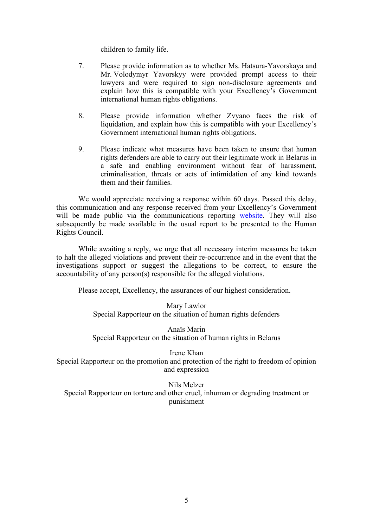children to family life.

- 7. Please provide information as to whether Ms. Hatsura-Yavorskaya and Mr. Volodymyr Yavorskyy were provided promp<sup>t</sup> access to their lawyers and were required to sign non-disclosure agreements and explain how this is compatible with your Excellency'<sup>s</sup> Government international human rights obligations.
- 8. Please provide information whether Zvyano faces the risk of liquidation, and explain how this is compatible with your Excellency'<sup>s</sup> Government international human rights obligations.
- 9. Please indicate what measures have been taken to ensure that human rights defenders are able to carry out their legitimate work in Belarus in <sup>a</sup> safe and enabling environment without fear of harassment, criminalisation, threats or acts of intimidation of any kind towards them and their families.

We would appreciate receiving <sup>a</sup> response within 60 days. Passed this delay, this communication and any response received from your Excellency'<sup>s</sup> Government will be made public via the communications reporting [website](https://spcommreports.ohchr.org/). They will also subsequently be made available in the usual repor<sup>t</sup> to be presented to the Human Rights Council.

While awaiting <sup>a</sup> reply, we urge that all necessary interim measures be taken to halt the alleged violations and preven<sup>t</sup> their re-occurrence and in the event that the investigations suppor<sup>t</sup> or sugges<sup>t</sup> the allegations to be correct, to ensure the accountability of any person(s) responsible for the alleged violations.

Please accept, Excellency, the assurances of our highest consideration.

Mary Lawlor Special Rapporteur on the situation of human rights defenders

Anaïs Marin Special Rapporteur on the situation of human rights in Belarus

Irene Khan Special Rapporteur on the promotion and protection of the right to freedom of opinion and expression

Nils Melzer Special Rapporteur on torture and other cruel, inhuman or degrading treatment or punishment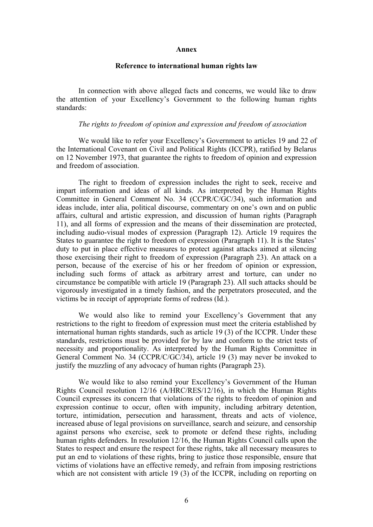#### **Annex**

# **Reference to international human rights law**

In connection with above alleged facts and concerns, we would like to draw the attention of your Excellency'<sup>s</sup> Government to the following human rights standards:

### *The rights to freedom of opinion and expression and freedom of association*

We would like to refer your Excellency'<sup>s</sup> Government to articles 19 and 22 of the International Covenant on Civil and Political Rights (ICCPR), ratified by Belarus on 12 November 1973, that guarantee the rights to freedom of opinion and expression and freedom of association.

The right to freedom of expression includes the right to seek, receive and impart information and ideas of all kinds. As interpreted by the Human Rights Committee in General Comment No. 34 (CCPR/C/GC/34), such information and ideas include, inter alia, political discourse, commentary on one'<sup>s</sup> own and on public affairs, cultural and artistic expression, and discussion of human rights (Paragraph 11), and all forms of expression and the means of their dissemination are protected, including audio-visual modes of expression (Paragraph 12). Article 19 requires the States to guarantee the right to freedom of expression (Paragraph 11). It is the States' duty to pu<sup>t</sup> in place effective measures to protect against attacks aimed at silencing those exercising their right to freedom of expression (Paragraph 23). An attack on <sup>a</sup> person, because of the exercise of his or her freedom of opinion or expression, including such forms of attack as arbitrary arrest and torture, can under no circumstance be compatible with article 19 (Paragraph 23). All such attacks should be vigorously investigated in <sup>a</sup> timely fashion, and the perpetrators prosecuted, and the victims be in receipt of appropriate forms of redress (Id.).

We would also like to remind your Excellency'<sup>s</sup> Government that any restrictions to the right to freedom of expression must meet the criteria established by international human rights standards, such as article 19 (3) of the ICCPR. Under these standards, restrictions must be provided for by law and conform to the strict tests of necessity and proportionality. As interpreted by the Human Rights Committee in General Comment No. 34 (CCPR/C/GC/34), article 19 (3) may never be invoked to justify the muzzling of any advocacy of human rights (Paragraph 23).

We would like to also remind your Excellency'<sup>s</sup> Government of the Human Rights Council resolution 12/16 (A/HRC/RES/12/16), in which the Human Rights Council expresses its concern that violations of the rights to freedom of opinion and expression continue to occur, often with impunity, including arbitrary detention, torture, intimidation, persecution and harassment, threats and acts of violence, increased abuse of legal provisions on surveillance, search and seizure, and censorship against persons who exercise, seek to promote or defend these rights, including human rights defenders. In resolution 12/16, the Human Rights Council calls upon the States to respec<sup>t</sup> and ensure the respec<sup>t</sup> for these rights, take all necessary measures to pu<sup>t</sup> an end to violations of these rights, bring to justice those responsible, ensure that victims of violations have an effective remedy, and refrain from imposing restrictions which are not consistent with article 19 (3) of the ICCPR, including on reporting on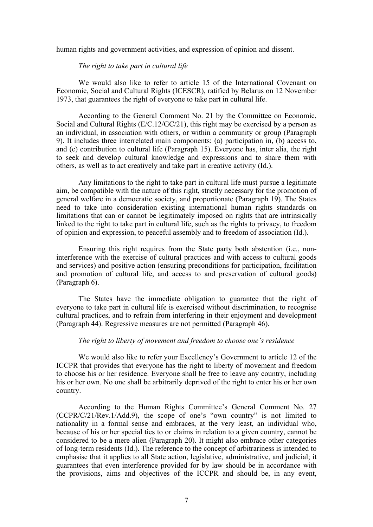human rights and governmen<sup>t</sup> activities, and expression of opinion and dissent.

## *The right to take par<sup>t</sup> in cultural life*

We would also like to refer to article 15 of the International Covenant on Economic, Social and Cultural Rights (ICESCR), ratified by Belarus on 12 November 1973, that guarantees the right of everyone to take par<sup>t</sup> in cultural life.

According to the General Comment No. 21 by the Committee on Economic, Social and Cultural Rights (E/C.12/GC/21), this right may be exercised by <sup>a</sup> person as an individual, in association with others, or within <sup>a</sup> community or group (Paragraph 9). It includes three interrelated main components: (a) participation in, (b) access to, and (c) contribution to cultural life (Paragraph 15). Everyone has, inter alia, the right to seek and develop cultural knowledge and expressions and to share them with others, as well as to act creatively and take par<sup>t</sup> in creative activity (Id.).

Any limitations to the right to take par<sup>t</sup> in cultural life must pursue <sup>a</sup> legitimate aim, be compatible with the nature of this right, strictly necessary for the promotion of general welfare in <sup>a</sup> democratic society, and proportionate (Paragraph 19). The States need to take into consideration existing international human rights standards on limitations that can or cannot be legitimately imposed on rights that are intrinsically linked to the right to take par<sup>t</sup> in cultural life, such as the rights to privacy, to freedom of opinion and expression, to peaceful assembly and to freedom of association (Id.).

Ensuring this right requires from the State party both abstention (i.e., noninterference with the exercise of cultural practices and with access to cultural goods and services) and positive action (ensuring preconditions for participation, facilitation and promotion of cultural life, and access to and preservation of cultural goods) (Paragraph 6).

The States have the immediate obligation to guarantee that the right of everyone to take par<sup>t</sup> in cultural life is exercised without discrimination, to recognise cultural practices, and to refrain from interfering in their enjoyment and development (Paragraph 44). Regressive measures are not permitted (Paragraph 46).

## *The right to liberty of movement and freedom to choose one'<sup>s</sup> residence*

We would also like to refer your Excellency'<sup>s</sup> Government to article 12 of the ICCPR that provides that everyone has the right to liberty of movement and freedom to choose his or her residence. Everyone shall be free to leave any country, including his or her own. No one shall be arbitrarily deprived of the right to enter his or her own country.

According to the Human Rights Committee'<sup>s</sup> General Comment No. 27 (CCPR/C/21/Rev.1/Add.9), the scope of one'<sup>s</sup> "own country" is not limited to nationality in <sup>a</sup> formal sense and embraces, at the very least, an individual who, because of his or her special ties to or claims in relation to <sup>a</sup> given country, cannot be considered to be <sup>a</sup> mere alien (Paragraph 20). It might also embrace other categories of long-term residents (Id.). The reference to the concep<sup>t</sup> of arbitrariness is intended to emphasise that it applies to all State action, legislative, administrative, and judicial; it guarantees that even interference provided for by law should be in accordance with the provisions, aims and objectives of the ICCPR and should be, in any event,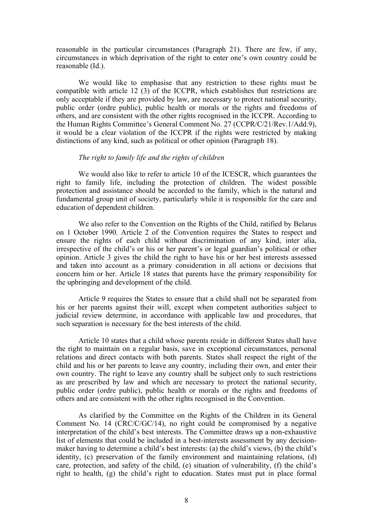reasonable in the particular circumstances (Paragraph 21). There are few, if any, circumstances in which deprivation of the right to enter one'<sup>s</sup> own country could be reasonable (Id.).

We would like to emphasise that any restriction to these rights must be compatible with article 12 (3) of the ICCPR, which establishes that restrictions are only acceptable if they are provided by law, are necessary to protect national security, public order (ordre public), public health or morals or the rights and freedoms of others, and are consistent with the other rights recognised in the ICCPR. According to the Human Rights Committee'<sup>s</sup> General Comment No. 27 (CCPR/C/21/Rev.1/Add.9), it would be <sup>a</sup> clear violation of the ICCPR if the rights were restricted by making distinctions of any kind, such as political or other opinion (Paragraph 18).

#### *The right to family life and the rights of children*

We would also like to refer to article 10 of the ICESCR, which guarantees the right to family life, including the protection of children. The widest possible protection and assistance should be accorded to the family, which is the natural and fundamental group unit of society, particularly while it is responsible for the care and education of dependent children.

We also refer to the Convention on the Rights of the Child, ratified by Belarus on 1 October 1990. Article 2 of the Convention requires the States to respec<sup>t</sup> and ensure the rights of each child without discrimination of any kind, inter alia, irrespective of the child'<sup>s</sup> or his or her parent'<sup>s</sup> or legal guardian'<sup>s</sup> political or other opinion. Article 3 gives the child the right to have his or her best interests assessed and taken into account as <sup>a</sup> primary consideration in all actions or decisions that concern him or her. Article 18 states that parents have the primary responsibility for the upbringing and development of the child.

Article 9 requires the States to ensure that <sup>a</sup> child shall not be separated from his or her parents against their will, excep<sup>t</sup> when competent authorities subject to judicial review determine, in accordance with applicable law and procedures, that such separation is necessary for the best interests of the child.

Article 10 states that <sup>a</sup> child whose parents reside in different States shall have the right to maintain on <sup>a</sup> regular basis, save in exceptional circumstances, personal relations and direct contacts with both parents. States shall respec<sup>t</sup> the right of the child and his or her parents to leave any country, including their own, and enter their own country. The right to leave any country shall be subject only to such restrictions as are prescribed by law and which are necessary to protect the national security, public order (ordre public), public health or morals or the rights and freedoms of others and are consistent with the other rights recognised in the Convention.

As clarified by the Committee on the Rights of the Children in its General Comment No. 14 (CRC/C/GC/14), no right could be compromised by <sup>a</sup> negative interpretation of the child'<sup>s</sup> best interests. The Committee draws up <sup>a</sup> non-exhaustive list of elements that could be included in <sup>a</sup> best-interests assessment by any decisionmaker having to determine <sup>a</sup> child'<sup>s</sup> best interests: (a) the child'<sup>s</sup> views, (b) the child'<sup>s</sup> identity, (c) preservation of the family environment and maintaining relations, (d) care, protection, and safety of the child, (e) situation of vulnerability, (f) the child'<sup>s</sup> right to health, (g) the child'<sup>s</sup> right to education. States must pu<sup>t</sup> in place formal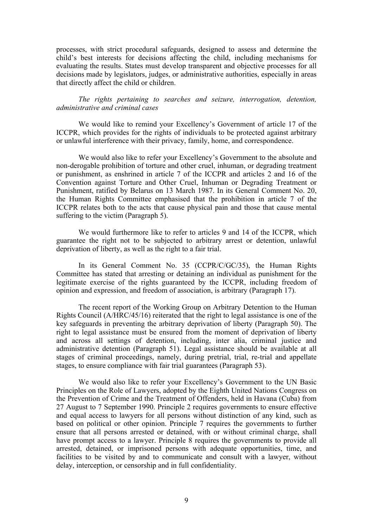processes, with strict procedural safeguards, designed to assess and determine the child'<sup>s</sup> best interests for decisions affecting the child, including mechanisms for evaluating the results. States must develop transparent and objective processes for all decisions made by legislators, judges, or administrative authorities, especially in areas that directly affect the child or children.

*The rights pertaining to searches and seizure, interrogation, detention, administrative and criminal cases*

We would like to remind your Excellency'<sup>s</sup> Government of article 17 of the ICCPR, which provides for the rights of individuals to be protected against arbitrary or unlawful interference with their privacy, family, home, and correspondence.

We would also like to refer your Excellency'<sup>s</sup> Government to the absolute and non-derogable prohibition of torture and other cruel, inhuman, or degrading treatment or punishment, as enshrined in article 7 of the ICCPR and articles 2 and 16 of the Convention against Torture and Other Cruel, Inhuman or Degrading Treatment or Punishment, ratified by Belarus on 13 March 1987. In its General Comment No. 20, the Human Rights Committee emphasised that the prohibition in article 7 of the ICCPR relates both to the acts that cause physical pain and those that cause mental suffering to the victim (Paragraph 5).

We would furthermore like to refer to articles 9 and 14 of the ICCPR, which guarantee the right not to be subjected to arbitrary arrest or detention, unlawful deprivation of liberty, as well as the right to <sup>a</sup> fair trial.

In its General Comment No. 35 (CCPR/C/GC/35), the Human Rights Committee has stated that arresting or detaining an individual as punishment for the legitimate exercise of the rights guaranteed by the ICCPR, including freedom of opinion and expression, and freedom of association, is arbitrary (Paragraph 17).

The recent repor<sup>t</sup> of the Working Group on Arbitrary Detention to the Human Rights Council (A/HRC/45/16) reiterated that the right to legal assistance is one of the key safeguards in preventing the arbitrary deprivation of liberty (Paragraph 50). The right to legal assistance must be ensured from the moment of deprivation of liberty and across all settings of detention, including, inter alia, criminal justice and administrative detention (Paragraph 51). Legal assistance should be available at all stages of criminal proceedings, namely, during pretrial, trial, re-trial and appellate stages, to ensure compliance with fair trial guarantees (Paragraph 53).

We would also like to refer your Excellency'<sup>s</sup> Government to the UN Basic Principles on the Role of Lawyers, adopted by the Eighth United Nations Congress on the Prevention of Crime and the Treatment of Offenders, held in Havana (Cuba) from 27 August to 7 September 1990. Principle 2 requires governments to ensure effective and equal access to lawyers for all persons without distinction of any kind, such as based on political or other opinion. Principle 7 requires the governments to further ensure that all persons arrested or detained, with or without criminal charge, shall have promp<sup>t</sup> access to <sup>a</sup> lawyer. Principle 8 requires the governments to provide all arrested, detained, or imprisoned persons with adequate opportunities, time, and facilities to be visited by and to communicate and consult with <sup>a</sup> lawyer, without delay, interception, or censorship and in full confidentiality.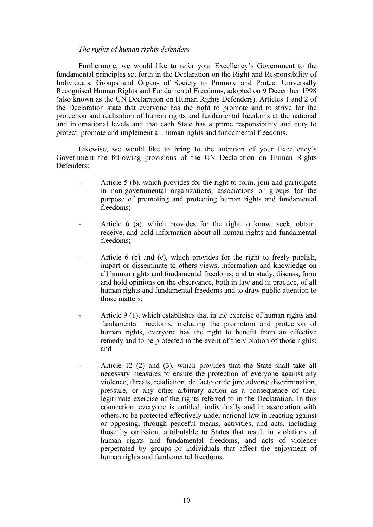## *The rights of human rights defenders*

Furthermore, we would like to refer your Excellency'<sup>s</sup> Government to the fundamental principles set forth in the Declaration on the Right and Responsibility of Individuals, Groups and Organs of Society to Promote and Protect Universally Recognised Human Rights and Fundamental Freedoms, adopted on 9 December 1998 (also known as the UN Declaration on Human Rights Defenders). Articles 1 and 2 of the Declaration state that everyone has the right to promote and to strive for the protection and realisation of human rights and fundamental freedoms at the national and international levels and that each State has <sup>a</sup> prime responsibility and duty to protect, promote and implement all human rights and fundamental freedoms.

Likewise, we would like to bring to the attention of your Excellency'<sup>s</sup> Government the following provisions of the UN Declaration on Human Rights Defenders:

- - Article 5 (b), which provides for the right to form, join and participate in non-governmental organizations, associations or groups for the purpose of promoting and protecting human rights and fundamental freedoms;
- Article 6 (a), which provides for the right to know, seek, obtain, receive, and hold information about all human rights and fundamental freedoms;
- Article 6 (b) and (c), which provides for the right to freely publish, impart or disseminate to others views, information and knowledge on all human rights and fundamental freedoms; and to study, discuss, form and hold opinions on the observance, both in law and in practice, of all human rights and fundamental freedoms and to draw public attention to those matters;
- Article 9 (1), which establishes that in the exercise of human rights and fundamental freedoms, including the promotion and protection of human rights, everyone has the right to benefit from an effective remedy and to be protected in the event of the violation of those rights; and
- - Article 12 (2) and (3), which provides that the State shall take all necessary measures to ensure the protection of everyone against any violence, threats, retaliation, de facto or de jure adverse discrimination, pressure, or any other arbitrary action as <sup>a</sup> consequence of their legitimate exercise of the rights referred to in the Declaration. In this connection, everyone is entitled, individually and in association with others, to be protected effectively under national law in reacting against or opposing, through peaceful means, activities, and acts, including those by omission, attributable to States that result in violations of human rights and fundamental freedoms, and acts of violence perpetrated by groups or individuals that affect the enjoyment of human rights and fundamental freedoms.